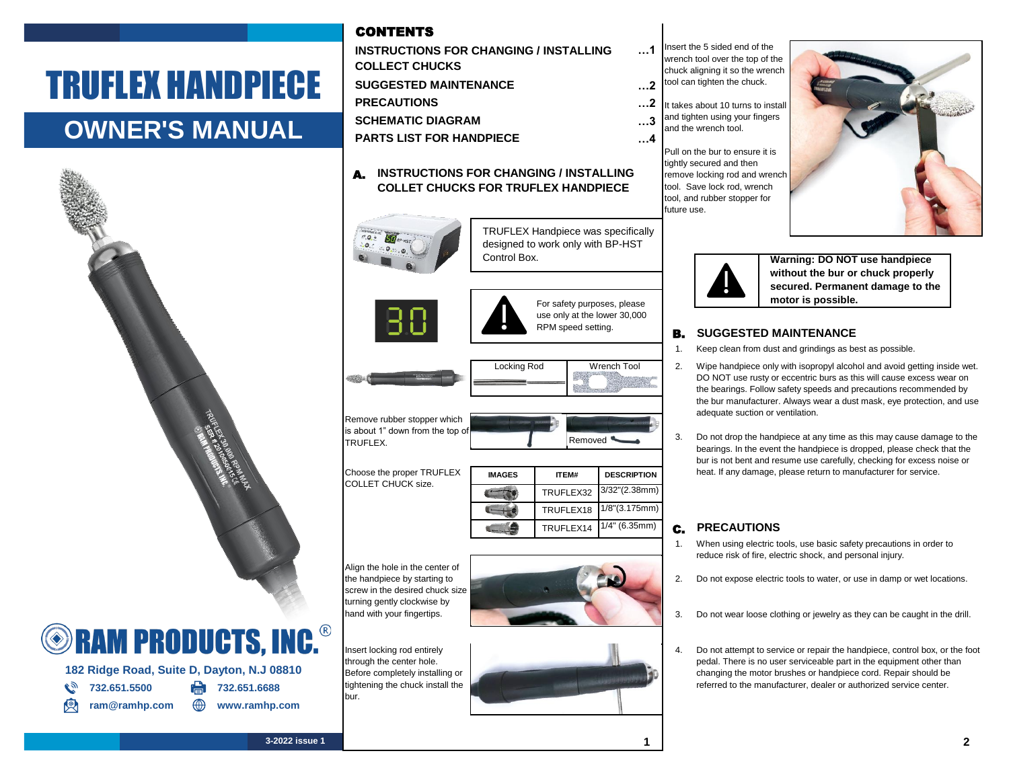# TRUFLEX HANDPIECE

## **OWNER'S MANUAL**



**182 Ridge Road, Suite D, Dayton, N.J 08810**

ram@ramhp.com **\times** www.ramhp.com

**8** 732.651.5500 **PM** 732.651.6688

## CONTENTS

**…1 …2 …2 …3 …4 SUGGESTED MAINTENANCE PRECAUTIONS PARTS LIST FOR HANDPIECE SCHEMATIC DIAGRAM INSTRUCTIONS FOR CHANGING / INSTALLING COLLECT CHUCKS**

#### A. **INSTRUCTIONS FOR CHANGING / INSTALLING COLLET CHUCKS FOR TRUFLEX HANDPIECE**

Control Box.





For safety purposes, please use only at the lower 30,000 RPM speed setting.

Removed <sup>4</sup>

TRUFLEX Handpiece was specifically designed to work only with BP-HST



Remove rubber stopper which is about 1" down from the top of TRUFLEX.

Choose the proper TRUFLEX COLLET CHUCK size.

| <b>IMAGES</b> | ITFM#     | <b>DESCRIPTION</b>      |
|---------------|-----------|-------------------------|
|               |           | TRUFLEX32 3/32"(2.38mm) |
|               | TRUFLEX18 | 1/8"(3.175mm)           |
|               | TRUFLEX14 | $1/4$ " (6.35mm)        |

Align the hole in the center of the handpiece by starting to screw in the desired chuck size turning gently clockwise by hand with your fingertips.



nsert locking rod entirely through the center hole. Before completely installing or ightening the chuck install the bur.



C. **PRECAUTIONS** 1/8"(3.175mm)

1. 2. When using electric tools, use basic safety precautions in order to reduce risk of fire, electric shock, and personal injury. Do not expose electric tools to water, or use in damp or wet locations.

- 3. Do not wear loose clothing or jewelry as they can be caught in the drill.
- 4. Do not attempt to service or repair the handpiece, control box, or the foot pedal. There is no user serviceable part in the equipment other than changing the motor brushes or handpiece cord. Repair should be referred to the manufacturer, dealer or authorized service center.

Insert the 5 sided end of the wrench tool over the top of the chuck aligning it so the wrench tool can tighten the chuck. It takes about 10 turns to install and tighten using your fingers and the wrench tool. Pull on the bur to ensure it is



tightly secured and then remove locking rod and wrench tool. Save lock rod, wrench tool, and rubber stopper for

future use.

**Warning: DO NOT use handpiece without the bur or chuck properly secured. Permanent damage to the motor is possible.**

#### B. **SUGGESTED MAINTENANCE**

- 1. Keep clean from dust and grindings as best as possible.
- 2. Wipe handpiece only with isopropyl alcohol and avoid getting inside wet. DO NOT use rusty or eccentric burs as this will cause excess wear on the bearings. Follow safety speeds and precautions recommended by the bur manufacturer. Always wear a dust mask, eye protection, and use adequate suction or ventilation.
- 3. Do not drop the handpiece at any time as this may cause damage to the bearings. In the event the handpiece is dropped, please check that the bur is not bent and resume use carefully, checking for excess noise or heat. If any damage, please return to manufacturer for service.